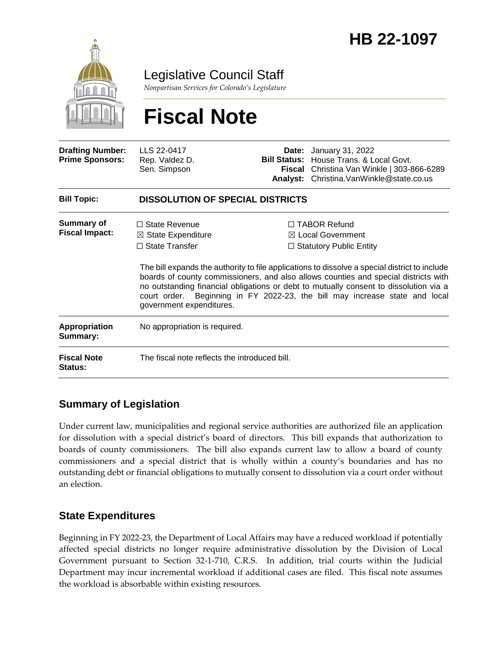

Legislative Council Staff

*Nonpartisan Services for Colorado's Legislature*

# **Fiscal Note**

| <b>Drafting Number:</b><br><b>Prime Sponsors:</b> | LLS 22-0417<br>Rep. Valdez D.<br>Sen. Simpson                                                              | <b>Bill Status:</b> | <b>Date:</b> January 31, 2022<br>House Trans. & Local Govt.<br>Fiscal Christina Van Winkle   303-866-6289<br>Analyst: Christina.VanWinkle@state.co.us                                                                                                                                                                                                                                                                                                 |  |
|---------------------------------------------------|------------------------------------------------------------------------------------------------------------|---------------------|-------------------------------------------------------------------------------------------------------------------------------------------------------------------------------------------------------------------------------------------------------------------------------------------------------------------------------------------------------------------------------------------------------------------------------------------------------|--|
| <b>Bill Topic:</b>                                | <b>DISSOLUTION OF SPECIAL DISTRICTS</b>                                                                    |                     |                                                                                                                                                                                                                                                                                                                                                                                                                                                       |  |
| <b>Summary of</b><br><b>Fiscal Impact:</b>        | $\Box$ State Revenue<br>$\boxtimes$ State Expenditure<br>$\Box$ State Transfer<br>government expenditures. |                     | $\Box$ TABOR Refund<br>$\boxtimes$ Local Government<br>$\Box$ Statutory Public Entity<br>The bill expands the authority to file applications to dissolve a special district to include<br>boards of county commissioners, and also allows counties and special districts with<br>no outstanding financial obligations or debt to mutually consent to dissolution via a<br>court order. Beginning in FY 2022-23, the bill may increase state and local |  |
| Appropriation<br>Summary:                         | No appropriation is required.                                                                              |                     |                                                                                                                                                                                                                                                                                                                                                                                                                                                       |  |
| <b>Fiscal Note</b><br>Status:                     | The fiscal note reflects the introduced bill.                                                              |                     |                                                                                                                                                                                                                                                                                                                                                                                                                                                       |  |

## **Summary of Legislation**

Under current law, municipalities and regional service authorities are authorized file an application for dissolution with a special district's board of directors. This bill expands that authorization to boards of county commissioners. The bill also expands current law to allow a board of county commissioners and a special district that is wholly within a county's boundaries and has no outstanding debt or financial obligations to mutually consent to dissolution via a court order without an election.

## **State Expenditures**

Beginning in FY 2022-23, the Department of Local Affairs may have a reduced workload if potentially affected special districts no longer require administrative dissolution by the Division of Local Government pursuant to Section 32-1-710, C.R.S. In addition, trial courts within the Judicial Department may incur incremental workload if additional cases are filed. This fiscal note assumes the workload is absorbable within existing resources.